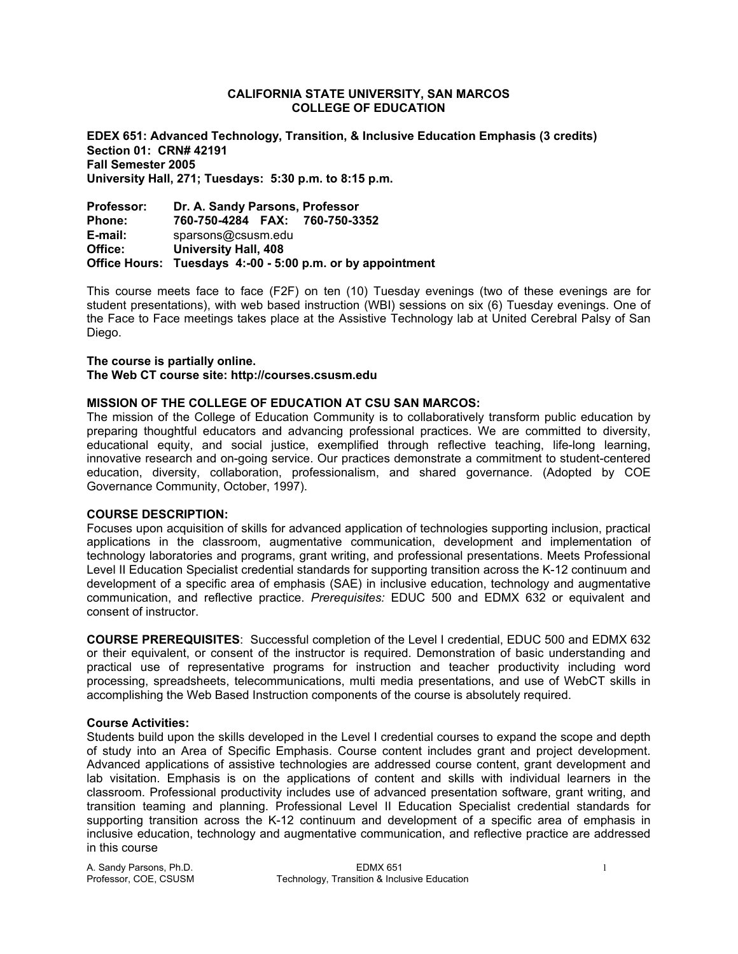#### **CALIFORNIA STATE UNIVERSITY, SAN MARCOS COLLEGE OF EDUCATION**

**EDEX 651: Advanced Technology, Transition, & Inclusive Education Emphasis (3 credits) Section 01: CRN# 42191 Fall Semester 2005 University Hall, 271; Tuesdays: 5:30 p.m. to 8:15 p.m.** 

**Professor: Dr. A. Sandy Parsons, Professor Phone: 760-750-4284 FAX: 760-750-3352 E-mail:** sparsons@csusm.edu **Office: University Hall, 408 Office Hours: Tuesdays 4:-00 - 5:00 p.m. or by appointment** 

This course meets face to face (F2F) on ten (10) Tuesday evenings (two of these evenings are for student presentations), with web based instruction (WBI) sessions on six (6) Tuesday evenings. One of the Face to Face meetings takes place at the Assistive Technology lab at United Cerebral Palsy of San Diego.

#### **The course is partially online.**

#### **The Web CT course site: http://courses.csusm.edu**

#### **MISSION OF THE COLLEGE OF EDUCATION AT CSU SAN MARCOS:**

The mission of the College of Education Community is to collaboratively transform public education by preparing thoughtful educators and advancing professional practices. We are committed to diversity, educational equity, and social justice, exemplified through reflective teaching, life-long learning, innovative research and on-going service. Our practices demonstrate a commitment to student-centered education, diversity, collaboration, professionalism, and shared governance. (Adopted by COE Governance Community, October, 1997).

#### **COURSE DESCRIPTION:**

Focuses upon acquisition of skills for advanced application of technologies supporting inclusion, practical applications in the classroom, augmentative communication, development and implementation of technology laboratories and programs, grant writing, and professional presentations. Meets Professional Level II Education Specialist credential standards for supporting transition across the K-12 continuum and development of a specific area of emphasis (SAE) in inclusive education, technology and augmentative communication, and reflective practice. *Prerequisites:* EDUC 500 and EDMX 632 or equivalent and consent of instructor.

**COURSE PREREQUISITES**: Successful completion of the Level I credential, EDUC 500 and EDMX 632 or their equivalent, or consent of the instructor is required. Demonstration of basic understanding and practical use of representative programs for instruction and teacher productivity including word processing, spreadsheets, telecommunications, multi media presentations, and use of WebCT skills in accomplishing the Web Based Instruction components of the course is absolutely required.

#### **Course Activities:**

Students build upon the skills developed in the Level I credential courses to expand the scope and depth of study into an Area of Specific Emphasis. Course content includes grant and project development. Advanced applications of assistive technologies are addressed course content, grant development and lab visitation. Emphasis is on the applications of content and skills with individual learners in the classroom. Professional productivity includes use of advanced presentation software, grant writing, and transition teaming and planning. Professional Level II Education Specialist credential standards for supporting transition across the K-12 continuum and development of a specific area of emphasis in inclusive education, technology and augmentative communication, and reflective practice are addressed in this course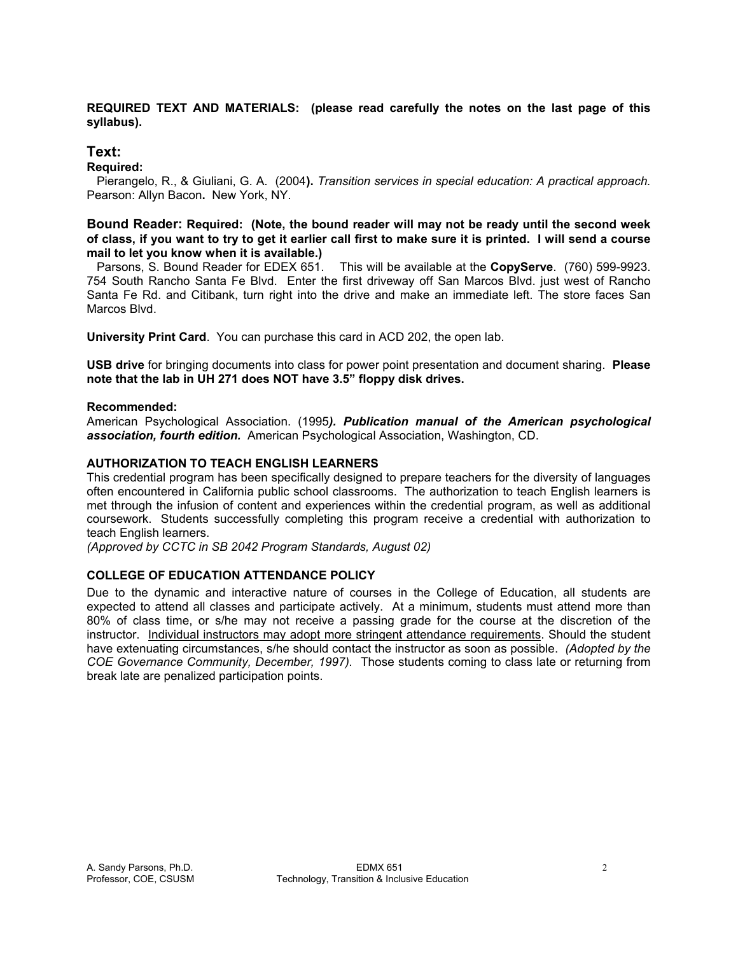# **REQUIRED TEXT AND MATERIALS: (please read carefully the notes on the last page of this syllabus).**

# **Text:**

**Required:** 

 Pierangelo, R., & Giuliani, G. A. (2004**).** *Transition services in special education: A practical approach.*  Pearson: Allyn Bacon**.** New York, NY.

# **Bound Reader: Required: (Note, the bound reader will may not be ready until the second week of class, if you want to try to get it earlier call first to make sure it is printed. I will send a course mail to let you know when it is available.)**

 Parsons, S. Bound Reader for EDEX 651. This will be available at the **CopyServe**. (760) 599-9923. 754 South Rancho Santa Fe Blvd. Enter the first driveway off San Marcos Blvd. just west of Rancho Santa Fe Rd. and Citibank, turn right into the drive and make an immediate left. The store faces San Marcos Blvd.

**University Print Card**. You can purchase this card in ACD 202, the open lab.

**USB drive** for bringing documents into class for power point presentation and document sharing. **Please note that the lab in UH 271 does NOT have 3.5" floppy disk drives.**

# **Recommended:**

American Psychological Association. (1995*). Publication manual of the American psychological association, fourth edition.* American Psychological Association, Washington, CD.

# **AUTHORIZATION TO TEACH ENGLISH LEARNERS**

This credential program has been specifically designed to prepare teachers for the diversity of languages often encountered in California public school classrooms. The authorization to teach English learners is met through the infusion of content and experiences within the credential program, as well as additional coursework. Students successfully completing this program receive a credential with authorization to teach English learners.

*(Approved by CCTC in SB 2042 Program Standards, August 02)*

# **COLLEGE OF EDUCATION ATTENDANCE POLICY**

Due to the dynamic and interactive nature of courses in the College of Education, all students are expected to attend all classes and participate actively. At a minimum, students must attend more than 80% of class time, or s/he may not receive a passing grade for the course at the discretion of the instructor. Individual instructors may adopt more stringent attendance requirements. Should the student have extenuating circumstances, s/he should contact the instructor as soon as possible. *(Adopted by the COE Governance Community, December, 1997).* Those students coming to class late or returning from break late are penalized participation points.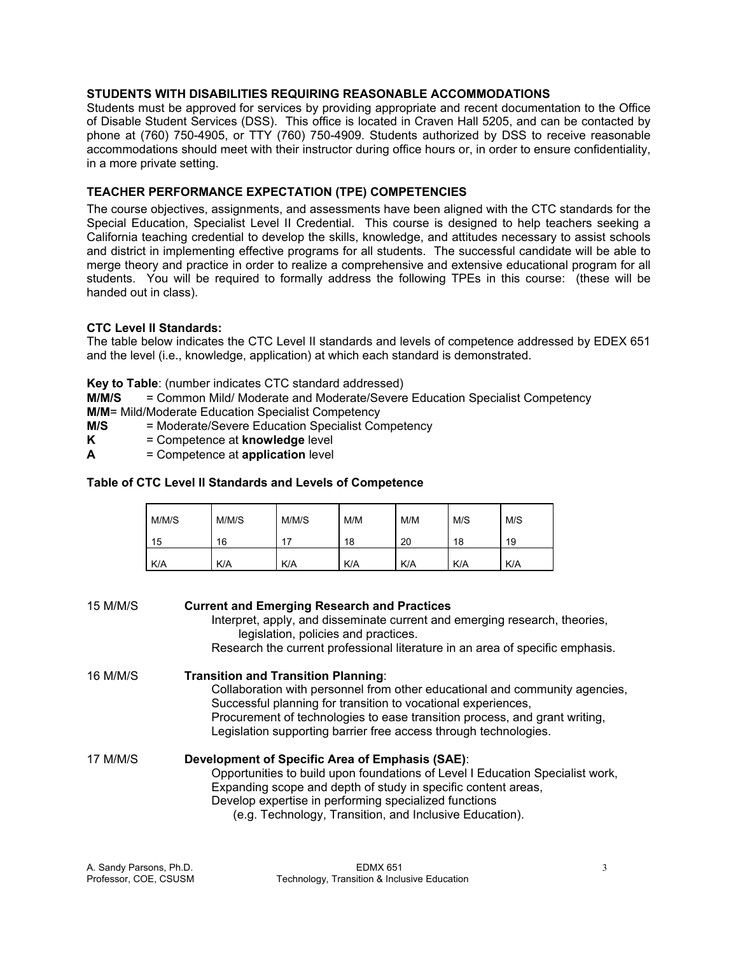# **STUDENTS WITH DISABILITIES REQUIRING REASONABLE ACCOMMODATIONS**

Students must be approved for services by providing appropriate and recent documentation to the Office of Disable Student Services (DSS). This office is located in Craven Hall 5205, and can be contacted by phone at (760) 750-4905, or TTY (760) 750-4909. Students authorized by DSS to receive reasonable accommodations should meet with their instructor during office hours or, in order to ensure confidentiality, in a more private setting.

# **TEACHER PERFORMANCE EXPECTATION (TPE) COMPETENCIES**

The course objectives, assignments, and assessments have been aligned with the CTC standards for the Special Education, Specialist Level II Credential. This course is designed to help teachers seeking a California teaching credential to develop the skills, knowledge, and attitudes necessary to assist schools and district in implementing effective programs for all students. The successful candidate will be able to merge theory and practice in order to realize a comprehensive and extensive educational program for all students. You will be required to formally address the following TPEs in this course: (these will be handed out in class).

# **CTC Level II Standards:**

The table below indicates the CTC Level II standards and levels of competence addressed by EDEX 651 and the level (i.e., knowledge, application) at which each standard is demonstrated.

**Key to Table**: (number indicates CTC standard addressed)

**M/M/S** = Common Mild/ Moderate and Moderate/Severe Education Specialist Competency

- **M/M**= Mild/Moderate Education Specialist Competency
- **M/S** = Moderate/Severe Education Specialist Competency
- **K** = Competence at **knowledge** level
- **A** = Competence at **application** level

# **Table of CTC Level II Standards and Levels of Competence**

| M/M/S | M/M/S | M/M/S      | M/M | M/M | M/S        | M/S |
|-------|-------|------------|-----|-----|------------|-----|
| 15    | 16    | 17         | 18  | 20  | 18         | 19  |
| K/A   | K/A   | <b>K/A</b> | K/A | K/A | <b>K/A</b> | K/A |

| 15 M/M/S | <b>Current and Emerging Research and Practices</b><br>Interpret, apply, and disseminate current and emerging research, theories,<br>legislation, policies and practices.<br>Research the current professional literature in an area of specific emphasis.                                                             |  |  |  |
|----------|-----------------------------------------------------------------------------------------------------------------------------------------------------------------------------------------------------------------------------------------------------------------------------------------------------------------------|--|--|--|
| 16 M/M/S | <b>Transition and Transition Planning:</b>                                                                                                                                                                                                                                                                            |  |  |  |
|          | Collaboration with personnel from other educational and community agencies,<br>Successful planning for transition to vocational experiences,<br>Procurement of technologies to ease transition process, and grant writing,<br>Legislation supporting barrier free access through technologies.                        |  |  |  |
| 17 M/M/S | Development of Specific Area of Emphasis (SAE):<br>Opportunities to build upon foundations of Level I Education Specialist work,<br>Expanding scope and depth of study in specific content areas,<br>Develop expertise in performing specialized functions<br>(e.g. Technology, Transition, and Inclusive Education). |  |  |  |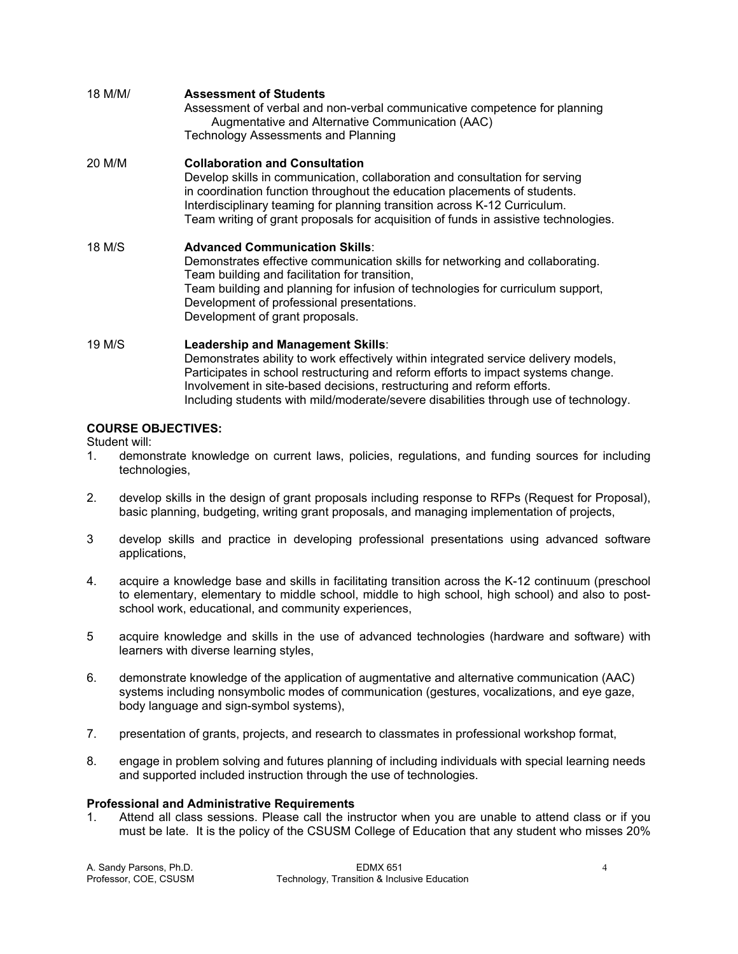| 18 M/M/ | <b>Assessment of Students</b><br>Assessment of verbal and non-verbal communicative competence for planning<br>Augmentative and Alternative Communication (AAC)<br><b>Technology Assessments and Planning</b>                                                                                                                                                          |
|---------|-----------------------------------------------------------------------------------------------------------------------------------------------------------------------------------------------------------------------------------------------------------------------------------------------------------------------------------------------------------------------|
| 20 M/M  | <b>Collaboration and Consultation</b><br>Develop skills in communication, collaboration and consultation for serving<br>in coordination function throughout the education placements of students.<br>Interdisciplinary teaming for planning transition across K-12 Curriculum.<br>Team writing of grant proposals for acquisition of funds in assistive technologies. |
| 18 M/S  | <b>Advanced Communication Skills:</b><br>Demonstrates effective communication skills for networking and collaborating.<br>Team building and facilitation for transition,<br>Team building and planning for infusion of technologies for curriculum support,<br>Development of professional presentations.<br>Development of grant proposals.                          |
| 19 M/S  | Leadership and Management Skills:<br>Demonstrates ability to work effectively within integrated service delivery models,<br>Participates in school restructuring and reform efforts to impact systems change.<br>Involvement in site-based decisions, restructuring and reform efforts.                                                                               |

Including students with mild/moderate/severe disabilities through use of technology.

# **COURSE OBJECTIVES:**

Student will:

- 1. demonstrate knowledge on current laws, policies, regulations, and funding sources for including technologies,
- 2. develop skills in the design of grant proposals including response to RFPs (Request for Proposal), basic planning, budgeting, writing grant proposals, and managing implementation of projects,
- 3 develop skills and practice in developing professional presentations using advanced software applications,
- 4. acquire a knowledge base and skills in facilitating transition across the K-12 continuum (preschool to elementary, elementary to middle school, middle to high school, high school) and also to postschool work, educational, and community experiences,
- 5 acquire knowledge and skills in the use of advanced technologies (hardware and software) with learners with diverse learning styles,
- 6. demonstrate knowledge of the application of augmentative and alternative communication (AAC) systems including nonsymbolic modes of communication (gestures, vocalizations, and eye gaze, body language and sign-symbol systems),
- 7. presentation of grants, projects, and research to classmates in professional workshop format,
- 8. engage in problem solving and futures planning of including individuals with special learning needs and supported included instruction through the use of technologies.

#### **Professional and Administrative Requirements**

1. Attend all class sessions. Please call the instructor when you are unable to attend class or if you must be late. It is the policy of the CSUSM College of Education that any student who misses 20%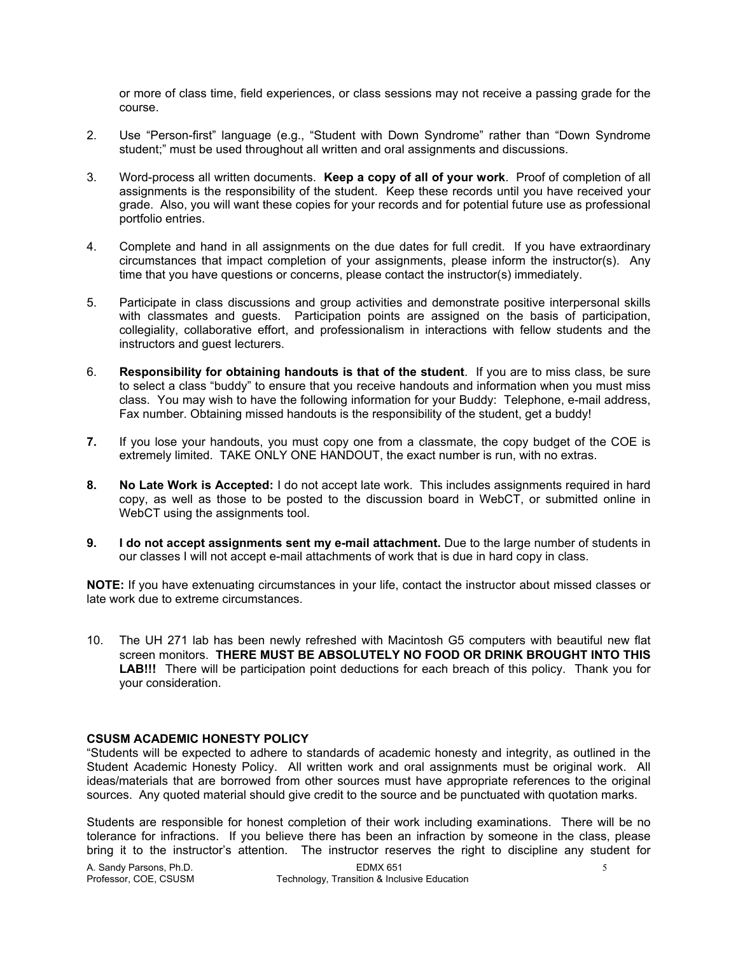or more of class time, field experiences, or class sessions may not receive a passing grade for the course.

- 2. Use "Person-first" language (e.g., "Student with Down Syndrome" rather than "Down Syndrome student;" must be used throughout all written and oral assignments and discussions.
- 3. Word-process all written documents. **Keep a copy of all of your work**. Proof of completion of all assignments is the responsibility of the student. Keep these records until you have received your grade. Also, you will want these copies for your records and for potential future use as professional portfolio entries.
- 4. Complete and hand in all assignments on the due dates for full credit. If you have extraordinary circumstances that impact completion of your assignments, please inform the instructor(s). Any time that you have questions or concerns, please contact the instructor(s) immediately.
- 5. Participate in class discussions and group activities and demonstrate positive interpersonal skills with classmates and guests. Participation points are assigned on the basis of participation, collegiality, collaborative effort, and professionalism in interactions with fellow students and the instructors and guest lecturers.
- 6. **Responsibility for obtaining handouts is that of the student**. If you are to miss class, be sure to select a class "buddy" to ensure that you receive handouts and information when you must miss class. You may wish to have the following information for your Buddy: Telephone, e-mail address, Fax number. Obtaining missed handouts is the responsibility of the student, get a buddy!
- **7.** If you lose your handouts, you must copy one from a classmate, the copy budget of the COE is extremely limited. TAKE ONLY ONE HANDOUT, the exact number is run, with no extras.
- **8. No Late Work is Accepted:** I do not accept late work. This includes assignments required in hard copy, as well as those to be posted to the discussion board in WebCT, or submitted online in WebCT using the assignments tool.
- **9. I do not accept assignments sent my e-mail attachment.** Due to the large number of students in our classes I will not accept e-mail attachments of work that is due in hard copy in class.

**NOTE:** If you have extenuating circumstances in your life, contact the instructor about missed classes or late work due to extreme circumstances.

10. The UH 271 lab has been newly refreshed with Macintosh G5 computers with beautiful new flat screen monitors. **THERE MUST BE ABSOLUTELY NO FOOD OR DRINK BROUGHT INTO THIS**  LAB!!! There will be participation point deductions for each breach of this policy. Thank you for your consideration.

#### **CSUSM ACADEMIC HONESTY POLICY**

"Students will be expected to adhere to standards of academic honesty and integrity, as outlined in the Student Academic Honesty Policy. All written work and oral assignments must be original work. All ideas/materials that are borrowed from other sources must have appropriate references to the original sources. Any quoted material should give credit to the source and be punctuated with quotation marks.

Students are responsible for honest completion of their work including examinations. There will be no tolerance for infractions. If you believe there has been an infraction by someone in the class, please bring it to the instructor's attention. The instructor reserves the right to discipline any student for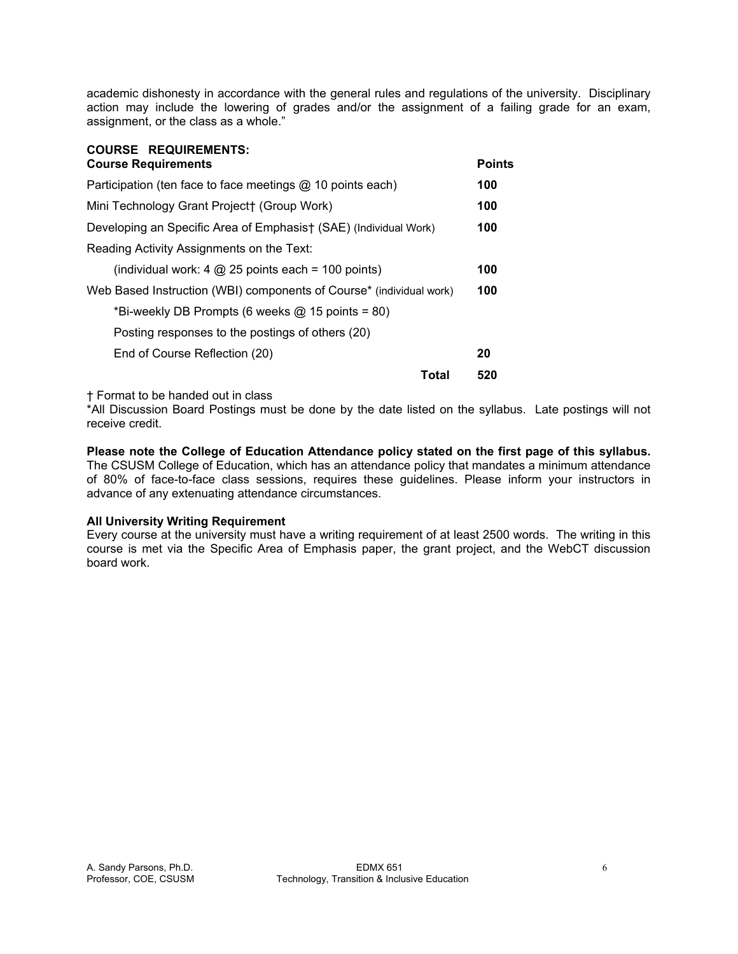academic dishonesty in accordance with the general rules and regulations of the university. Disciplinary action may include the lowering of grades and/or the assignment of a failing grade for an exam, assignment, or the class as a whole."

| <b>COURSE REQUIREMENTS:</b><br><b>Course Requirements</b>           | <b>Points</b> |
|---------------------------------------------------------------------|---------------|
| Participation (ten face to face meetings $@$ 10 points each)        | 100           |
| Mini Technology Grant Project† (Group Work)                         | 100           |
| Developing an Specific Area of Emphasist (SAE) (Individual Work)    | 100           |
| Reading Activity Assignments on the Text:                           |               |
| (individual work: 4 $@$ 25 points each = 100 points)                | 100           |
| Web Based Instruction (WBI) components of Course* (individual work) | 100           |
| *Bi-weekly DB Prompts (6 weeks $@$ 15 points = 80)                  |               |
| Posting responses to the postings of others (20)                    |               |
| End of Course Reflection (20)                                       | 20            |
| Total                                                               | 520           |

† Format to be handed out in class

**COURSE REQUIREMENTS:** 

\*All Discussion Board Postings must be done by the date listed on the syllabus. Late postings will not receive credit.

**Please note the College of Education Attendance policy stated on the first page of this syllabus.**  The CSUSM College of Education, which has an attendance policy that mandates a minimum attendance of 80% of face-to-face class sessions, requires these guidelines. Please inform your instructors in advance of any extenuating attendance circumstances.

#### **All University Writing Requirement**

Every course at the university must have a writing requirement of at least 2500 words. The writing in this course is met via the Specific Area of Emphasis paper, the grant project, and the WebCT discussion board work.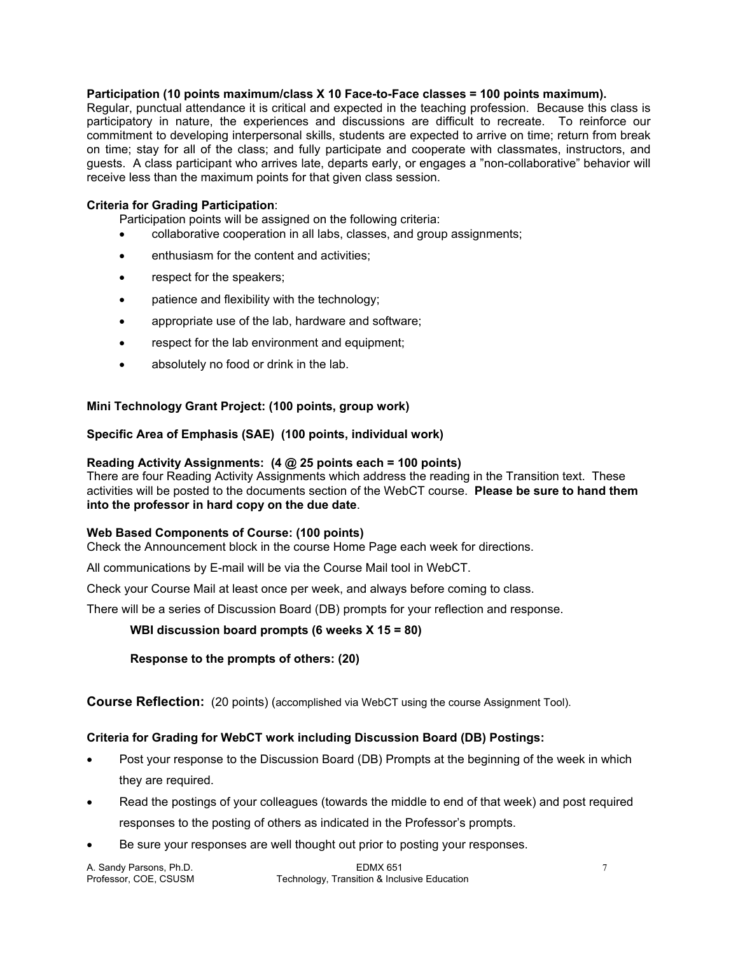#### **Participation (10 points maximum/class X 10 Face-to-Face classes = 100 points maximum).**

Regular, punctual attendance it is critical and expected in the teaching profession. Because this class is participatory in nature, the experiences and discussions are difficult to recreate. To reinforce our commitment to developing interpersonal skills, students are expected to arrive on time; return from break on time; stay for all of the class; and fully participate and cooperate with classmates, instructors, and guests. A class participant who arrives late, departs early, or engages a "non-collaborative" behavior will receive less than the maximum points for that given class session.

#### **Criteria for Grading Participation**:

Participation points will be assigned on the following criteria:

- collaborative cooperation in all labs, classes, and group assignments;
- enthusiasm for the content and activities;
- respect for the speakers;
- patience and flexibility with the technology;
- appropriate use of the lab, hardware and software;
- respect for the lab environment and equipment;
- absolutely no food or drink in the lab.

# **Mini Technology Grant Project: (100 points, group work)**

# **Specific Area of Emphasis (SAE) (100 points, individual work)**

# **Reading Activity Assignments: (4 @ 25 points each = 100 points)**

There are four Reading Activity Assignments which address the reading in the Transition text. These activities will be posted to the documents section of the WebCT course. **Please be sure to hand them into the professor in hard copy on the due date**.

#### **Web Based Components of Course: (100 points)**

Check the Announcement block in the course Home Page each week for directions.

All communications by E-mail will be via the Course Mail tool in WebCT.

Check your Course Mail at least once per week, and always before coming to class.

There will be a series of Discussion Board (DB) prompts for your reflection and response.

#### **WBI discussion board prompts (6 weeks X 15 = 80)**

 **Response to the prompts of others: (20)** 

**Course Reflection:** (20 points) (accomplished via WebCT using the course Assignment Tool).

# **Criteria for Grading for WebCT work including Discussion Board (DB) Postings:**

- Post your response to the Discussion Board (DB) Prompts at the beginning of the week in which they are required.
- Read the postings of your colleagues (towards the middle to end of that week) and post required responses to the posting of others as indicated in the Professor's prompts.
- Be sure your responses are well thought out prior to posting your responses.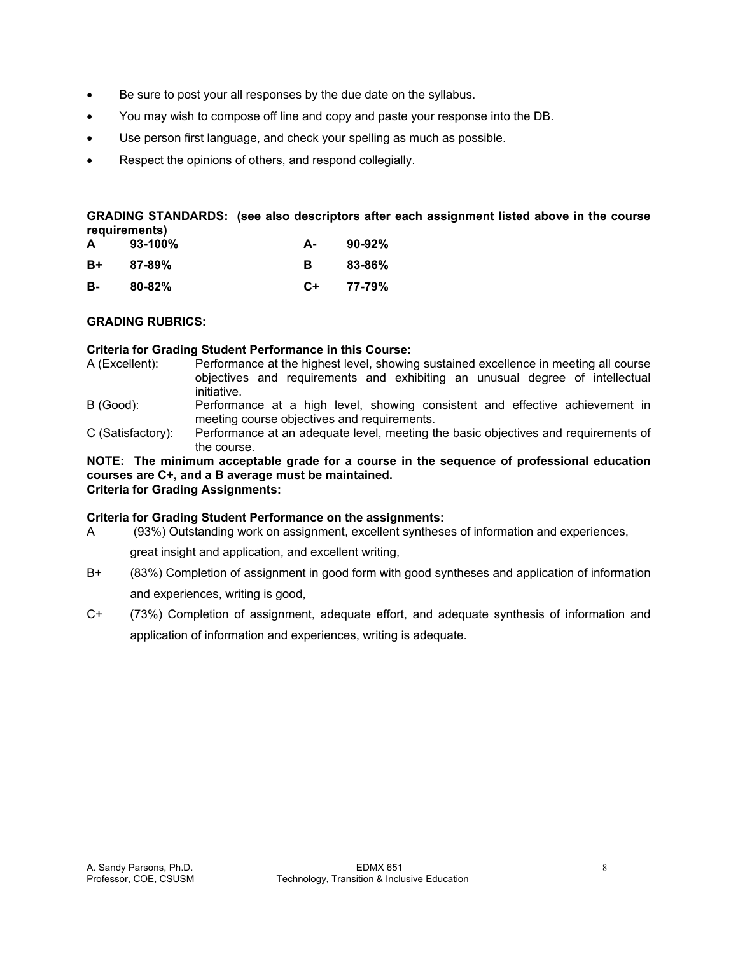- Be sure to post your all responses by the due date on the syllabus.
- You may wish to compose off line and copy and paste your response into the DB.
- Use person first language, and check your spelling as much as possible.
- Respect the opinions of others, and respond collegially.

**GRADING STANDARDS: (see also descriptors after each assignment listed above in the course requirements)** 

| A  | $93-100%$  | А-   | $90-92%$ |
|----|------------|------|----------|
| B+ | $87 - 89%$ | в    | 83-86%   |
| в- | $80 - 82%$ | $C+$ | 77-79%   |

# **GRADING RUBRICS:**

# **Criteria for Grading Student Performance in this Course:**

- A (Excellent): Performance at the highest level, showing sustained excellence in meeting all course objectives and requirements and exhibiting an unusual degree of intellectual initiative.
- B (Good): Performance at a high level, showing consistent and effective achievement in meeting course objectives and requirements.
- C (Satisfactory): Performance at an adequate level, meeting the basic objectives and requirements of the course.

#### **NOTE: The minimum acceptable grade for a course in the sequence of professional education courses are C+, and a B average must be maintained. Criteria for Grading Assignments:**

# **Criteria for Grading Student Performance on the assignments:**

A (93%) Outstanding work on assignment, excellent syntheses of information and experiences,

great insight and application, and excellent writing,

- B+ (83%) Completion of assignment in good form with good syntheses and application of information and experiences, writing is good,
- C+ (73%) Completion of assignment, adequate effort, and adequate synthesis of information and application of information and experiences, writing is adequate.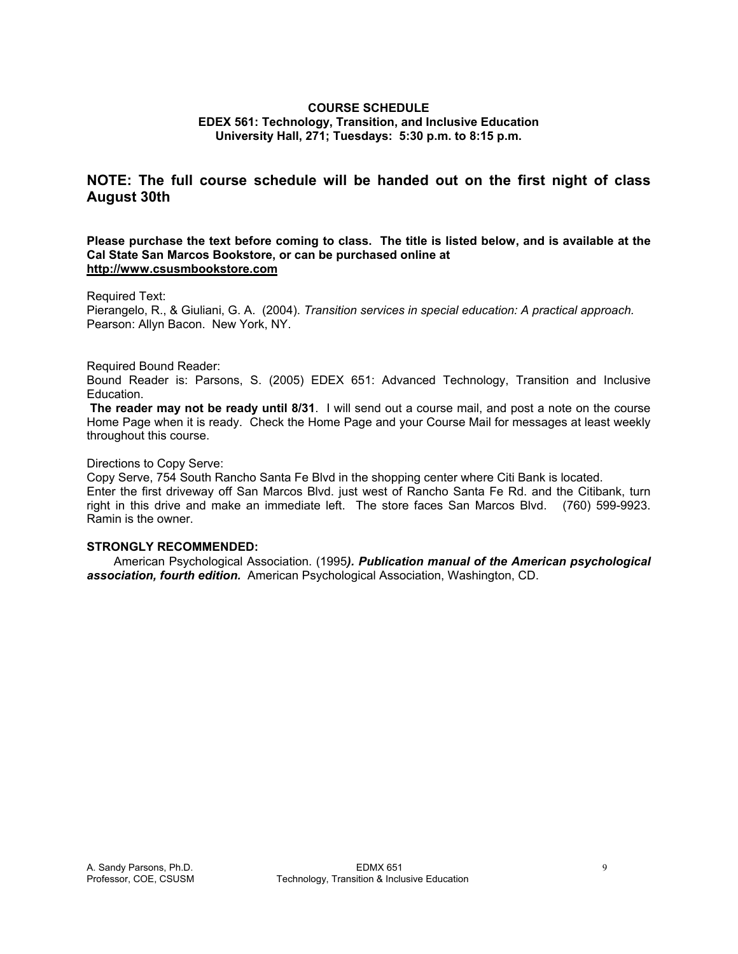# **COURSE SCHEDULE EDEX 561: Technology, Transition, and Inclusive Education University Hall, 271; Tuesdays: 5:30 p.m. to 8:15 p.m.**

# **NOTE: The full course schedule will be handed out on the first night of class August 30th**

#### **Please purchase the text before coming to class. The title is listed below, and is available at the Cal State San Marcos Bookstore, or can be purchased online at http://www.csusmbookstore.com**

#### Required Text:

Pierangelo, R., & Giuliani, G. A. (2004). *Transition services in special education: A practical approach.*  Pearson: Allyn Bacon. New York, NY.

#### Required Bound Reader:

Bound Reader is: Parsons, S. (2005) EDEX 651: Advanced Technology, Transition and Inclusive Education.

**The reader may not be ready until 8/31**. I will send out a course mail, and post a note on the course Home Page when it is ready. Check the Home Page and your Course Mail for messages at least weekly throughout this course.

#### Directions to Copy Serve:

Copy Serve, 754 South Rancho Santa Fe Blvd in the shopping center where Citi Bank is located. Enter the first driveway off San Marcos Blvd. just west of Rancho Santa Fe Rd. and the Citibank, turn right in this drive and make an immediate left. The store faces San Marcos Blvd. (760) 599-9923. Ramin is the owner.

# **STRONGLY RECOMMENDED:**

 American Psychological Association. (1995*). Publication manual of the American psychological association, fourth edition.* American Psychological Association, Washington, CD.